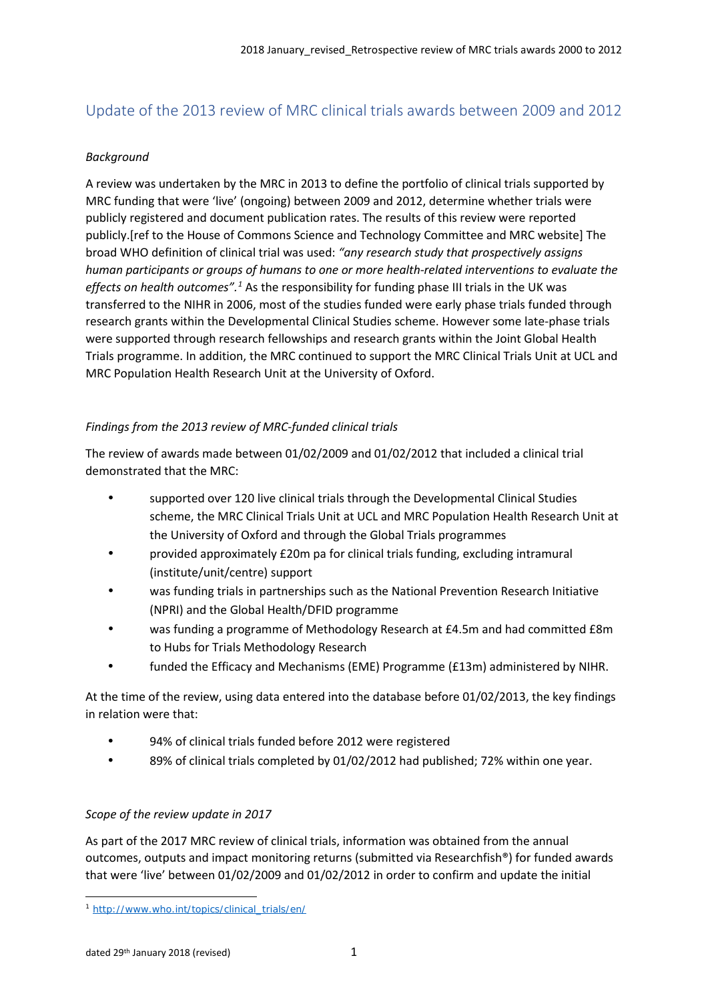# Update of the 2013 review of MRC clinical trials awards between 2009 and 2012

## *Background*

A review was undertaken by the MRC in 2013 to define the portfolio of clinical trials supported by MRC funding that were 'live' (ongoing) between 2009 and 2012, determine whether trials were publicly registered and document publication rates. The results of this review were reported publicly.[ref to the House of Commons Science and Technology Committee and MRC website] The broad WHO definition of clinical trial was used: *"any research study that prospectively assigns human participants or groups of humans to one or more health-related interventions to evaluate the effects on health outcomes".[1](#page-0-0)* As the responsibility for funding phase III trials in the UK was transferred to the NIHR in 2006, most of the studies funded were early phase trials funded through research grants within the Developmental Clinical Studies scheme. However some late-phase trials were supported through research fellowships and research grants within the Joint Global Health Trials programme. In addition, the MRC continued to support the MRC Clinical Trials Unit at UCL and MRC Population Health Research Unit at the University of Oxford.

## *Findings from the 2013 review of MRC-funded clinical trials*

The review of awards made between 01/02/2009 and 01/02/2012 that included a clinical trial demonstrated that the MRC:

- supported over 120 live clinical trials through the Developmental Clinical Studies scheme, the MRC Clinical Trials Unit at UCL and MRC Population Health Research Unit at the University of Oxford and through the Global Trials programmes
- provided approximately £20m pa for clinical trials funding, excluding intramural (institute/unit/centre) support
- was funding trials in partnerships such as the National Prevention Research Initiative (NPRI) and the Global Health/DFID programme
- was funding a programme of Methodology Research at £4.5m and had committed £8m to Hubs for Trials Methodology Research
- funded the Efficacy and Mechanisms (EME) Programme (£13m) administered by NIHR.

At the time of the review, using data entered into the database before 01/02/2013, the key findings in relation were that:

- 94% of clinical trials funded before 2012 were registered
- 89% of clinical trials completed by 01/02/2012 had published; 72% within one year.

## *Scope of the review update in 2017*

As part of the 2017 MRC review of clinical trials, information was obtained from the annual outcomes, outputs and impact monitoring returns (submitted via Researchfish®) for funded awards that were 'live' between 01/02/2009 and 01/02/2012 in order to confirm and update the initial

<span id="page-0-0"></span> $\overline{a}$ <sup>1</sup> [http://www.who.int/topics/clinical\\_trials/en/](http://www.who.int/topics/clinical_trials/en/)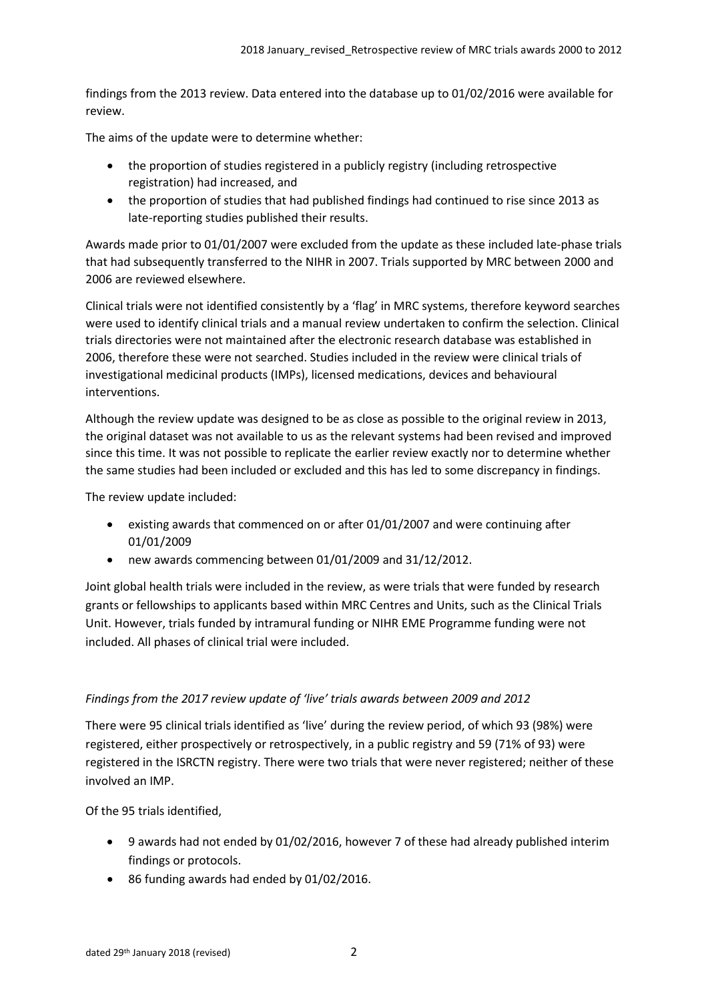findings from the 2013 review. Data entered into the database up to 01/02/2016 were available for review.

The aims of the update were to determine whether:

- the proportion of studies registered in a publicly registry (including retrospective registration) had increased, and
- the proportion of studies that had published findings had continued to rise since 2013 as late-reporting studies published their results.

Awards made prior to 01/01/2007 were excluded from the update as these included late-phase trials that had subsequently transferred to the NIHR in 2007. Trials supported by MRC between 2000 and 2006 are reviewed elsewhere.

Clinical trials were not identified consistently by a 'flag' in MRC systems, therefore keyword searches were used to identify clinical trials and a manual review undertaken to confirm the selection. Clinical trials directories were not maintained after the electronic research database was established in 2006, therefore these were not searched. Studies included in the review were clinical trials of investigational medicinal products (IMPs), licensed medications, devices and behavioural interventions.

Although the review update was designed to be as close as possible to the original review in 2013, the original dataset was not available to us as the relevant systems had been revised and improved since this time. It was not possible to replicate the earlier review exactly nor to determine whether the same studies had been included or excluded and this has led to some discrepancy in findings.

The review update included:

- existing awards that commenced on or after 01/01/2007 and were continuing after 01/01/2009
- new awards commencing between 01/01/2009 and 31/12/2012.

Joint global health trials were included in the review, as were trials that were funded by research grants or fellowships to applicants based within MRC Centres and Units, such as the Clinical Trials Unit. However, trials funded by intramural funding or NIHR EME Programme funding were not included. All phases of clinical trial were included.

#### *Findings from the 2017 review update of 'live' trials awards between 2009 and 2012*

There were 95 clinical trials identified as 'live' during the review period, of which 93 (98%) were registered, either prospectively or retrospectively, in a public registry and 59 (71% of 93) were registered in the ISRCTN registry. There were two trials that were never registered; neither of these involved an IMP.

Of the 95 trials identified,

- 9 awards had not ended by 01/02/2016, however 7 of these had already published interim findings or protocols.
- 86 funding awards had ended by 01/02/2016.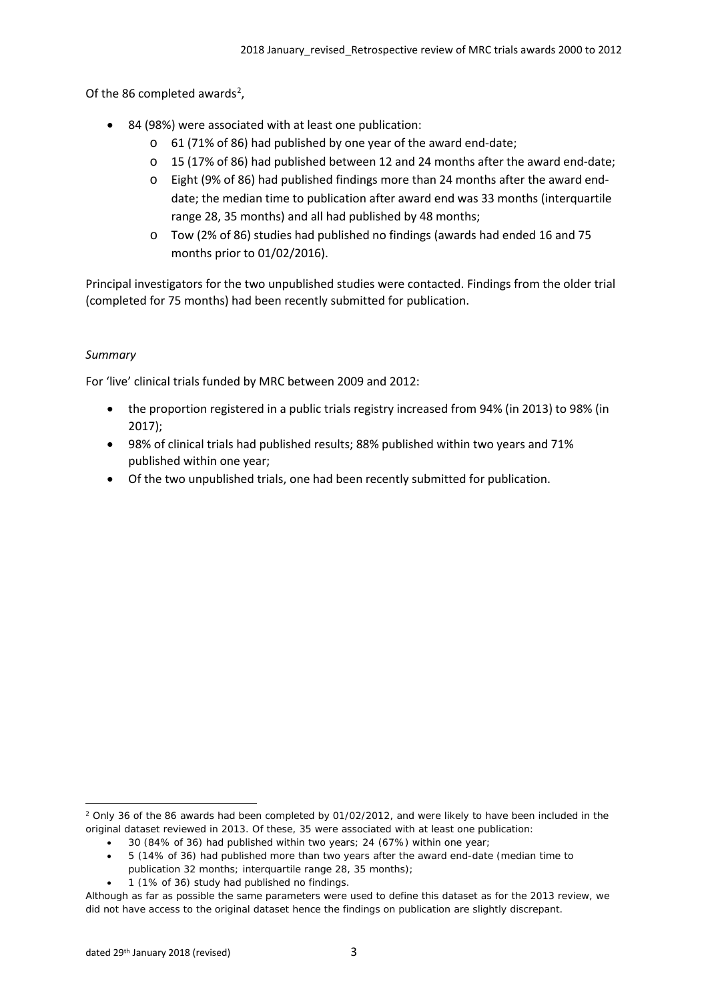Of the 86 completed awards<sup>[2](#page-2-0)</sup>,

- 84 (98%) were associated with at least one publication:
	- o 61 (71% of 86) had published by one year of the award end-date;
	- o 15 (17% of 86) had published between 12 and 24 months after the award end-date;
	- o Eight (9% of 86) had published findings more than 24 months after the award enddate; the median time to publication after award end was 33 months (interquartile range 28, 35 months) and all had published by 48 months;
	- o Tow (2% of 86) studies had published no findings (awards had ended 16 and 75 months prior to 01/02/2016).

Principal investigators for the two unpublished studies were contacted. Findings from the older trial (completed for 75 months) had been recently submitted for publication.

## *Summary*

For 'live' clinical trials funded by MRC between 2009 and 2012:

- the proportion registered in a public trials registry increased from 94% (in 2013) to 98% (in 2017);
- 98% of clinical trials had published results; 88% published within two years and 71% published within one year;
- Of the two unpublished trials, one had been recently submitted for publication.

• 1 (1% of 36) study had published no findings.

<span id="page-2-0"></span> $\overline{a}$  $2$  Only 36 of the 86 awards had been completed by 01/02/2012, and were likely to have been included in the original dataset reviewed in 2013. Of these, 35 were associated with at least one publication:

<sup>•</sup> 30 (84% of 36) had published within two years; 24 (67%) within one year;

<sup>•</sup> 5 (14% of 36) had published more than two years after the award end-date (median time to publication 32 months; interquartile range 28, 35 months);

Although as far as possible the same parameters were used to define this dataset as for the 2013 review, we did not have access to the original dataset hence the findings on publication are slightly discrepant.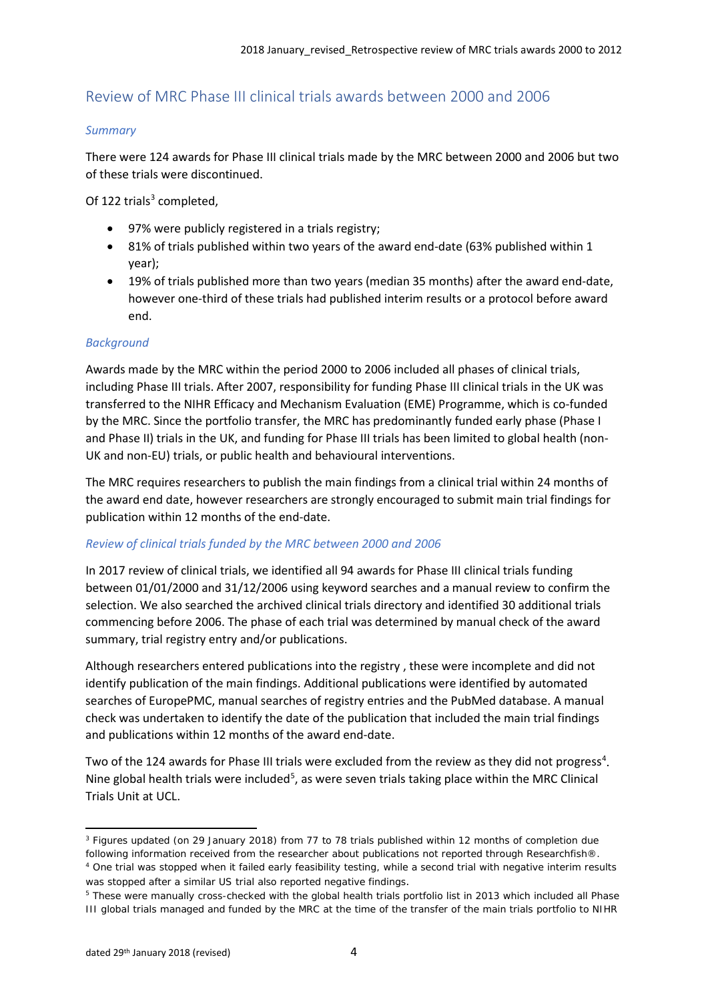# Review of MRC Phase III clinical trials awards between 2000 and 2006

### *Summary*

There were 124 awards for Phase III clinical trials made by the MRC between 2000 and 2006 but two of these trials were discontinued.

Of 122 trials $3$  completed,

- 97% were publicly registered in a trials registry;
- 81% of trials published within two years of the award end-date (63% published within 1 year);
- 19% of trials published more than two years (median 35 months) after the award end-date, however one-third of these trials had published interim results or a protocol before award end.

### *Background*

Awards made by the MRC within the period 2000 to 2006 included all phases of clinical trials, including Phase III trials. After 2007, responsibility for funding Phase III clinical trials in the UK was transferred to the NIHR Efficacy and Mechanism Evaluation (EME) Programme, which is co-funded by the MRC. Since the portfolio transfer, the MRC has predominantly funded early phase (Phase I and Phase II) trials in the UK, and funding for Phase III trials has been limited to global health (non-UK and non-EU) trials, or public health and behavioural interventions.

The MRC requires researchers to publish the main findings from a clinical trial within 24 months of the award end date, however researchers are strongly encouraged to submit main trial findings for publication within 12 months of the end-date.

#### *Review of clinical trials funded by the MRC between 2000 and 2006*

In 2017 review of clinical trials, we identified all 94 awards for Phase III clinical trials funding between 01/01/2000 and 31/12/2006 using keyword searches and a manual review to confirm the selection. We also searched the archived clinical trials directory and identified 30 additional trials commencing before 2006. The phase of each trial was determined by manual check of the award summary, trial registry entry and/or publications.

Although researchers entered publications into the registry , these were incomplete and did not identify publication of the main findings. Additional publications were identified by automated searches of EuropePMC, manual searches of registry entries and the PubMed database. A manual check was undertaken to identify the date of the publication that included the main trial findings and publications within 12 months of the award end-date.

Two of the 12[4](#page-3-1) awards for Phase III trials were excluded from the review as they did not progress<sup>4</sup>. Nine global health trials were included<sup>[5](#page-3-2)</sup>, as were seven trials taking place within the MRC Clinical Trials Unit at UCL.

<span id="page-3-0"></span> $\overline{a}$ <sup>3</sup> Figures updated (on 29 January 2018) from 77 to 78 trials published within 12 months of completion due following information received from the researcher about publications not reported through Researchfish®. <sup>4</sup> One trial was stopped when it failed early feasibility testing, while a second trial with negative interim results was stopped after a similar US trial also reported negative findings.

<span id="page-3-2"></span><span id="page-3-1"></span><sup>5</sup> These were manually cross-checked with the global health trials portfolio list in 2013 which included all Phase III global trials managed and funded by the MRC at the time of the transfer of the main trials portfolio to NIHR